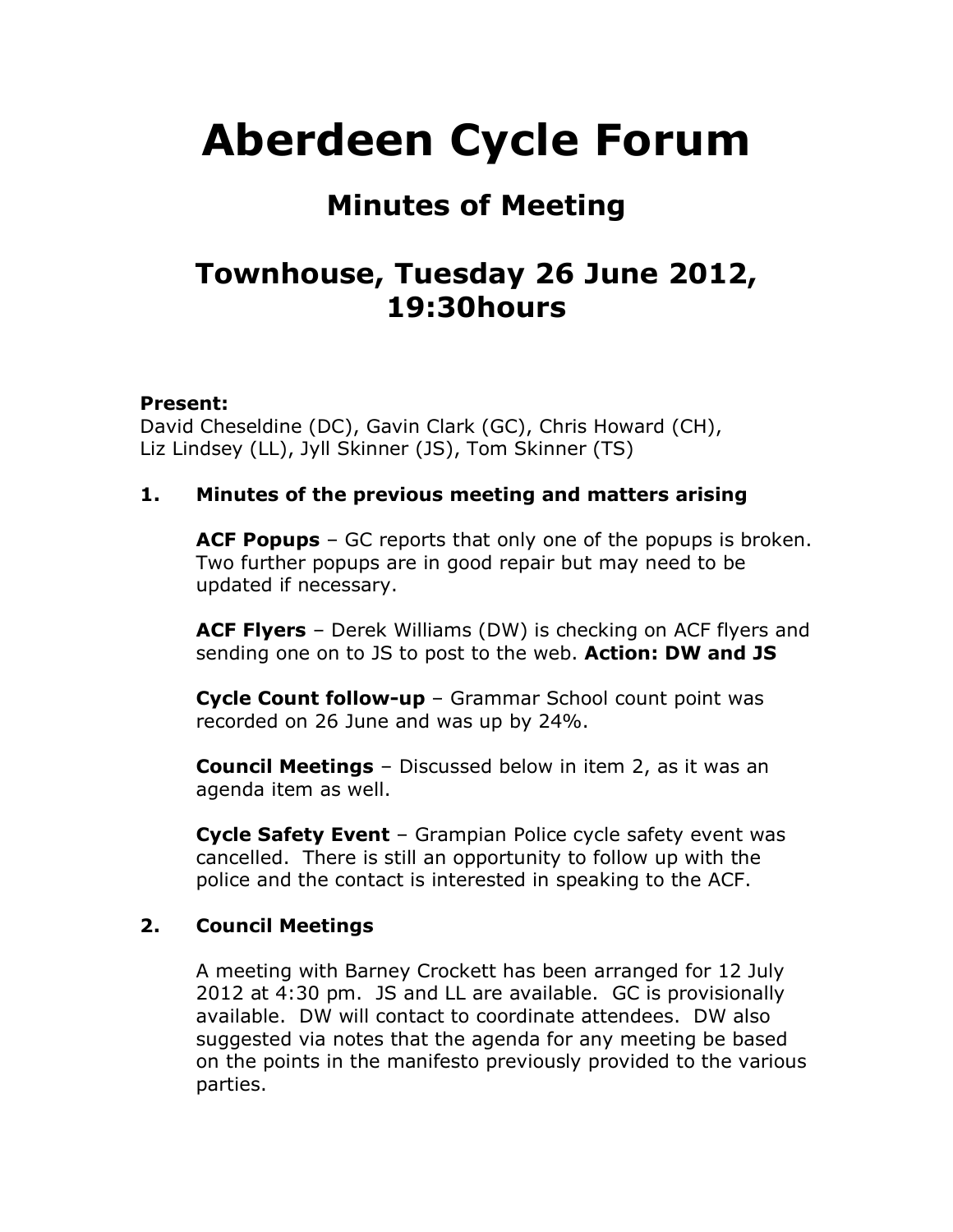# **Aberdeen Cycle Forum**

# **Minutes of Meeting**

# **Townhouse, Tuesday 26 June 2012, 19:30hours**

## **Present:**

David Cheseldine (DC), Gavin Clark (GC), Chris Howard (CH), Liz Lindsey (LL), Jyll Skinner (JS), Tom Skinner (TS)

## **1. Minutes of the previous meeting and matters arising**

**ACF Popups** – GC reports that only one of the popups is broken. Two further popups are in good repair but may need to be updated if necessary.

**ACF Flyers** – Derek Williams (DW) is checking on ACF flyers and sending one on to JS to post to the web. **Action: DW and JS**

**Cycle Count follow-up** – Grammar School count point was recorded on 26 June and was up by 24%.

**Council Meetings** – Discussed below in item 2, as it was an agenda item as well.

**Cycle Safety Event** – Grampian Police cycle safety event was cancelled. There is still an opportunity to follow up with the police and the contact is interested in speaking to the ACF.

#### **2. Council Meetings**

A meeting with Barney Crockett has been arranged for 12 July 2012 at 4:30 pm. JS and LL are available. GC is provisionally available. DW will contact to coordinate attendees. DW also suggested via notes that the agenda for any meeting be based on the points in the manifesto previously provided to the various parties.